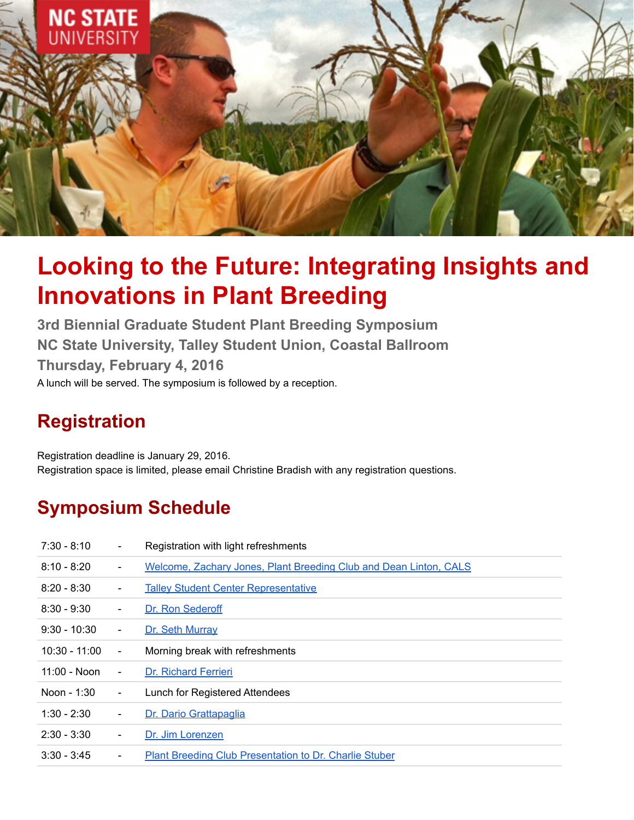

# **Looking to the Future: Integrating Insights and Innovations in Plant Breeding**

**3rd Biennial Graduate Student Plant Breeding Symposium NC State University, Talley Student Union, Coastal Ballroom Thursday, February 4, 2016** A lunch will be served. The symposium is followed by a reception.

# **Registration**

Registration deadline is January 29, 2016. Registration space is limited, please email Christine Bradish with any registration questions.

# **Symposium Schedule**

| $7:30 - 8:10$   |                | Registration with light refreshments                              |
|-----------------|----------------|-------------------------------------------------------------------|
| $8:10 - 8:20$   | $\blacksquare$ | Welcome, Zachary Jones, Plant Breeding Club and Dean Linton, CALS |
| $8:20 - 8:30$   | $\blacksquare$ | <b>Talley Student Center Representative</b>                       |
| $8:30 - 9:30$   | $\blacksquare$ | Dr. Ron Sederoff                                                  |
| $9:30 - 10:30$  | $\blacksquare$ | Dr. Seth Murray                                                   |
| $10:30 - 11:00$ | $\blacksquare$ | Morning break with refreshments                                   |
| $11:00 - N$ on  | $\blacksquare$ | Dr. Richard Ferrieri                                              |
| Noon - 1:30     | $\blacksquare$ | Lunch for Registered Attendees                                    |
| $1:30 - 2:30$   | $\blacksquare$ | Dr. Dario Grattapaglia                                            |
| $2:30 - 3:30$   | $\blacksquare$ | Dr. Jim Lorenzen                                                  |
| $3:30 - 3:45$   | $\blacksquare$ | <b>Plant Breeding Club Presentation to Dr. Charlie Stuber</b>     |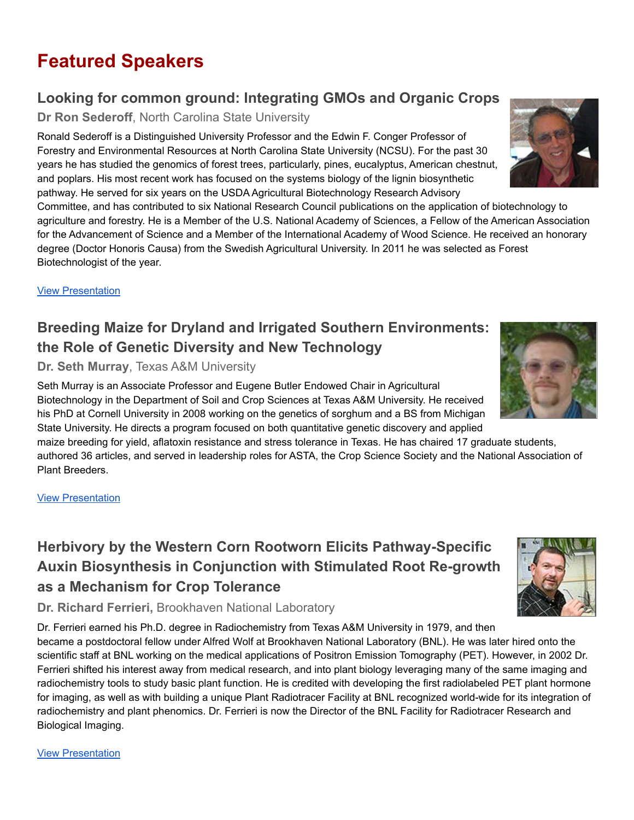# **Featured Speakers**

### **Looking for common ground: Integrating GMOs and Organic Crops**

**Dr Ron Sederoff**, North Carolina State University

Ronald Sederoff is a Distinguished University Professor and the Edwin F. Conger Professor of Forestry and Environmental Resources at North Carolina State University (NCSU). For the past 30 years he has studied the genomics of forest trees, particularly, pines, eucalyptus, American chestnut, and poplars. His most recent work has focused on the systems biology of the lignin biosynthetic pathway. He served for six years on the USDA Agricultural Biotechnology Research Advisory

Committee, and has contributed to six National Research Council publications on the application of biotechnology to agriculture and forestry. He is a Member of the U.S. National Academy of Sciences, a Fellow of the American Association for the Advancement of Science and a Member of the International Academy of Wood Science. He received an honorary degree (Doctor Honoris Causa) from the Swedish Agricultural University. In 2011 he was selected as Forest Biotechnologist of the year.

**View [Presentation](https://ncsu.hosted.panopto.com/Panopto/Pages/Viewer.aspx?id=5ef4f2a6-1baf-416a-b35d-acb60005773e)** 

### **Breeding Maize for Dryland and Irrigated Southern Environments: the Role of Genetic Diversity and New Technology**

**Dr. Seth Murray**, Texas A&M University

Seth Murray is an Associate Professor and Eugene Butler Endowed Chair in Agricultural Biotechnology in the Department of Soil and Crop Sciences at Texas A&M University. He received his PhD at Cornell University in 2008 working on the genetics of sorghum and a BS from Michigan State University. He directs a program focused on both quantitative genetic discovery and applied

maize breeding for yield, aflatoxin resistance and stress tolerance in Texas. He has chaired 17 graduate students, authored 36 articles, and served in leadership roles for ASTA, the Crop Science Society and the National Association of Plant Breeders.

#### View [Presentation](https://ncsu.hosted.panopto.com/Panopto/Pages/Viewer.aspx?id=f1420a90-7878-42e7-a6d4-acb60005ee82)

# **Herbivory by the Western Corn Rootworn Elicits Pathway-Specific Auxin Biosynthesis in Conjunction with Stimulated Root Re-growth as a Mechanism for Crop Tolerance**

**Dr. Richard Ferrieri,** Brookhaven National Laboratory

Dr. Ferrieri earned his Ph.D. degree in Radiochemistry from Texas A&M University in 1979, and then became a postdoctoral fellow under Alfred Wolf at Brookhaven National Laboratory (BNL). He was later hired onto the scientific staff at BNL working on the medical applications of Positron Emission Tomography (PET). However, in 2002 Dr. Ferrieri shifted his interest away from medical research, and into plant biology leveraging many of the same imaging and radiochemistry tools to study basic plant function. He is credited with developing the first radiolabeled PET plant hormone for imaging, as well as with building a unique Plant Radiotracer Facility at BNL recognized world-wide for its integration of radiochemistry and plant phenomics. Dr. Ferrieri is now the Director of the BNL Facility for Radiotracer Research and Biological Imaging.